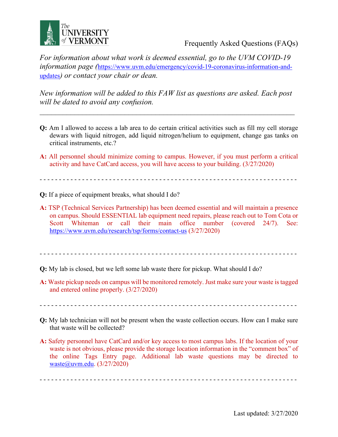

Frequently Asked Questions (FAQs)

*For information about what work is deemed essential, go to the UVM COVID-19 information page (*https://www.uvm.edu/emergency/covid-19-coronavirus-information-andupdates*) or contact your chair or dean.* 

*New information will be added to this FAW list as questions are asked. Each post will be dated to avoid any confusion.*

 $\mathcal{L}_\text{max}$  and  $\mathcal{L}_\text{max}$  and  $\mathcal{L}_\text{max}$  and  $\mathcal{L}_\text{max}$  and  $\mathcal{L}_\text{max}$  and  $\mathcal{L}_\text{max}$ 

- **Q:** Am I allowed to access a lab area to do certain critical activities such as fill my cell storage dewars with liquid nitrogen, add liquid nitrogen/helium to equipment, change gas tanks on critical instruments, etc.?
- **A:** All personnel should minimize coming to campus. However, if you must perform a critical activity and have CatCard access, you will have access to your building. (3/27/2020)

- - - - - - - - - - - - - - - - - - - - - - - - - - - - - - - - - - - - - - - - - - - - - - - - - - - - - - - - - - - - - - - - - - -

- **Q:** If a piece of equipment breaks, what should I do?
- **A:** TSP (Technical Services Partnership) has been deemed essential and will maintain a presence on campus. Should ESSENTIAL lab equipment need repairs, please reach out to Tom Cota or Scott Whiteman or call their main office number (covered 24/7). See: https://www.uvm.edu/research/tsp/forms/contact-us (3/27/2020)

- - - - - - - - - - - - - - - - - - - - - - - - - - - - - - - - - - - - - - - - - - - - - - - - - - - - - - - - - - - - - - - - - - -

- **Q:** My lab is closed, but we left some lab waste there for pickup. What should I do?
- **A:** Waste pickup needs on campus will be monitored remotely. Just make sure your waste is tagged and entered online properly. (3/27/2020)

- - - - - - - - - - - - - - - - - - - - - - - - - - - - - - - - - - - - - - - - - - - - - - - - - - - - - - - - - - - - - - - - - - -

- **Q:** My lab technician will not be present when the waste collection occurs. How can I make sure that waste will be collected?
- **A:** Safety personnel have CatCard and/or key access to most campus labs. If the location of your waste is not obvious, please provide the storage location information in the "comment box" of the online Tags Entry page. Additional lab waste questions may be directed to waste@uvm.edu. (3/27/2020)

- - - - - - - - - - - - - - - - - - - - - - - - - - - - - - - - - - - - - - - - - - - - - - - - - - - - - - - - - - - - - - - - - - -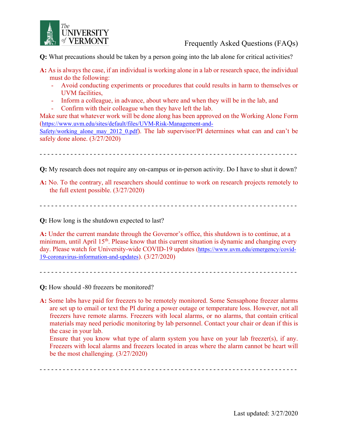

**Q:** What precautions should be taken by a person going into the lab alone for critical activities?

- **A:** As is always the case, if an individual is working alone in a lab or research space, the individual must do the following:
	- Avoid conducting experiments or procedures that could results in harm to themselves or UVM facilities,
	- Inform a colleague, in advance, about where and when they will be in the lab, and
	- Confirm with their colleague when they have left the lab.

Make sure that whatever work will be done along has been approved on the Working Alone Form (https://www.uvm.edu/sites/default/files/UVM-Risk-Management-and-

Safety/working alone may 2012 0.pdf). The lab supervisor/PI determines what can and can't be safely done alone. (3/27/2020)

- - - - - - - - - - - - - - - - - - - - - - - - - - - - - - - - - - - - - - - - - - - - - - - - - - - - - - - - - - - - - - - - - - -

**Q:** My research does not require any on-campus or in-person activity. Do I have to shut it down?

**A:** No. To the contrary, all researchers should continue to work on research projects remotely to the full extent possible. (3/27/2020)

- - - - - - - - - - - - - - - - - - - - - - - - - - - - - - - - - - - - - - - - - - - - - - - - - - - - - - - - - - - - - - - - - - -

**Q:** How long is the shutdown expected to last?

**A:** Under the current mandate through the Governor's office, this shutdown is to continue, at a minimum, until April 15<sup>th</sup>. Please know that this current situation is dynamic and changing every day. Please watch for University-wide COVID-19 updates (https://www.uvm.edu/emergency/covid-19-coronavirus-information-and-updates). (3/27/2020)

- - - - - - - - - - - - - - - - - - - - - - - - - - - - - - - - - - - - - - - - - - - - - - - - - - - - - - - - - - - - - - - - - - -

**Q:** How should -80 freezers be monitored?

**A:** Some labs have paid for freezers to be remotely monitored. Some Sensaphone freezer alarms are set up to email or text the PI during a power outage or temperature loss. However, not all freezers have remote alarms. Freezers with local alarms, or no alarms, that contain critical materials may need periodic monitoring by lab personnel. Contact your chair or dean if this is the case in your lab.

Ensure that you know what type of alarm system you have on your lab freezer(s), if any. Freezers with local alarms and freezers located in areas where the alarm cannot be heart will be the most challenging. (3/27/2020)

- - - - - - - - - - - - - - - - - - - - - - - - - - - - - - - - - - - - - - - - - - - - - - - - - - - - - - - - - - - - - - - - - - -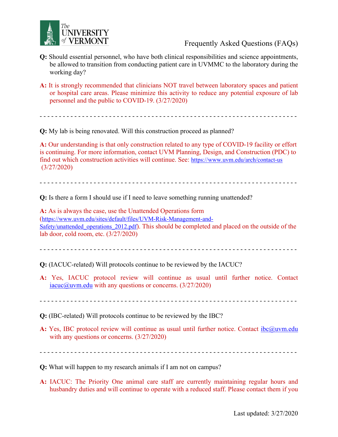

Frequently Asked Questions (FAQs)

- **Q:** Should essential personnel, who have both clinical responsibilities and science appointments, be allowed to transition from conducting patient care in UVMMC to the laboratory during the working day?
- **A:** It is strongly recommended that clinicians NOT travel between laboratory spaces and patient or hospital care areas. Please minimize this activity to reduce any potential exposure of lab personnel and the public to COVID-19. (3/27/2020)

- - - - - - - - - - - - - - - - - - - - - - - - - - - - - - - - - - - - - - - - - - - - - - - - - - - - - - - - - - - - - - - - - - -

**Q:** My lab is being renovated. Will this construction proceed as planned?

**A:** Our understanding is that only construction related to any type of COVID-19 facility or effort is continuing. For more information, contact UVM Planning, Design, and Construction (PDC) to find out which construction activities will continue. See: https://www.uvm.edu/arch/contact-us (3/27/2020)

- - - - - - - - - - - - - - - - - - - - - - - - - - - - - - - - - - - - - - - - - - - - - - - - - - - - - - - - - - - - - - - - - - -

**Q:** Is there a form I should use if I need to leave something running unattended?

**A:** As is always the case, use the Unattended Operations form (https://www.uvm.edu/sites/default/files/UVM-Risk-Management-and-Safety/unattended operations 2012.pdf). This should be completed and placed on the outside of the lab door, cold room, etc. (3/27/2020)

- - - - - - - - - - - - - - - - - - - - - - - - - - - - - - - - - - - - - - - - - - - - - - - - - - - - - - - - - - - - - - - - - - -

**Q:** (IACUC-related) Will protocols continue to be reviewed by the IACUC?

**A:** Yes, IACUC protocol review will continue as usual until further notice. Contact iacuc $@$ uvm.edu with any questions or concerns.  $(3/27/2020)$ 

- - - - - - - - - - - - - - - - - - - - - - - - - - - - - - - - - - - - - - - - - - - - - - - - - - - - - - - - - - - - - - - - - - -

**Q:** (IBC-related) Will protocols continue to be reviewed by the IBC?

A: Yes, IBC protocol review will continue as usual until further notice. Contact ibc@uvm.edu with any questions or concerns. (3/27/2020)

- - - - - - - - - - - - - - - - - - - - - - - - - - - - - - - - - - - - - - - - - - - - - - - - - - - - - - - - - - - - - - - - - - -

**Q:** What will happen to my research animals if I am not on campus?

**A:** IACUC: The Priority One animal care staff are currently maintaining regular hours and husbandry duties and will continue to operate with a reduced staff. Please contact them if you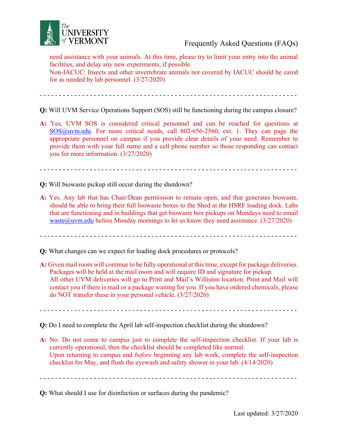

need assistance with your animals. At this time, please try to limit your entry into the animal facilities, and delay any new experiments, if possible.

Non-IACUC: Insects and other invertebrate animals not covered by IACUC should be cared for as needed by lab personnel. (3/27/2020)

- - - - - - - - - - - - - - - - - - - - - - - - - - - - - - - - - - - - - - - - - - - - - - - - - - - - - - - - - - - - - - - - - - -

**Q:** Will UVM Service Operations Support (SOS) still be functioning during the campus closure?

**A:** Yes, UVM SOS is considered critical personnel and can be reached for questions at SOS@uvm.edu. For more critical needs, call 802-656-2560, ext. 1. They can page the appropriate personnel on campus if you provide clear details of your need. Remember to provide them with your full name and a cell phone number so those responding can contact you for more information. (3/27/2020)

- - - - - - - - - - - - - - - - - - - - - - - - - - - - - - - - - - - - - - - - - - - - - - - - - - - - - - - - - - - - - - - - - - -

- **Q:** Will biowaste pickup still occur during the shutdown?
- **A:** Yes. Any lab that has Chair/Dean permission to remain open, and that generates biowaste, should be able to bring their full biowaste boxes to the Shed at the HSRF loading dock. Labs that are functioning and in buildings that get biowaste box pickups on Mondays need to email waste $@$ uvm.edu before Monday mornings to let us know they need assistance.  $(3/27/2020)$

- - - - - - - - - - - - - - - - - - - - - - - - - - - - - - - - - - - - - - - - - - - - - - - - - - - - - - - - - - - - - - - - - - -

- **Q:** What changes can we expect for loading dock procedures or protocols?
- **A:** Given mail room will continue to be fully operational at this time, except for package deliveries. Packages will be held at the mail room and will require ID and signature for pickup. All other UVM deliveries will go to Print and Mail's Williston location. Print and Mail will contact you if there is mail or a package waiting for you. If you have ordered chemicals, please do NOT transfer these in your personal vehicle. (3/27/2020)

- - - - - - - - - - - - - - - - - - - - - - - - - - - - - - - - - - - - - - - - - - - - - - - - - - - - - - - - - - - - - - - - - - -

**Q:** Do I need to complete the April lab self-inspection checklist during the shutdown?

**A:** No. Do not come to campus just to complete the self-inspection checklist. If your lab is currently operational, then the checklist should be completed like normal. Upon returning to campus and *before* beginning any lab work, complete the self-inspection checklist for May, and flush the eyewash and safety shower in your lab. (4/14/2020)

- - - - - - - - - - - - - - - - - - - - - - - - - - - - - - - - - - - - - - - - - - - - - - - - - - - - - - - - - - - - - - - - - - -

**Q:** What should I use for disinfection or surfaces during the pandemic?